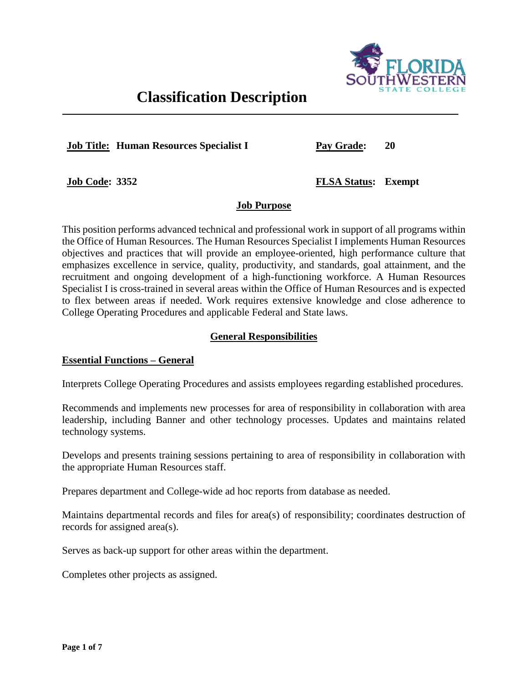

# **Classification Description**

**Job Title: Human Resources Specialist I**

**Pay Grade: 20**

**Job Code: 3352**

**FLSA Status: Exempt**

# **Job Purpose**

This position performs advanced technical and professional work in support of all programs within the Office of Human Resources. The Human Resources Specialist I implements Human Resources objectives and practices that will provide an employee-oriented, high performance culture that emphasizes excellence in service, quality, productivity, and standards, goal attainment, and the recruitment and ongoing development of a high-functioning workforce. A Human Resources Specialist I is cross-trained in several areas within the Office of Human Resources and is expected to flex between areas if needed. Work requires extensive knowledge and close adherence to College Operating Procedures and applicable Federal and State laws.

# **General Responsibilities**

# **Essential Functions – General**

Interprets College Operating Procedures and assists employees regarding established procedures.

Recommends and implements new processes for area of responsibility in collaboration with area leadership, including Banner and other technology processes. Updates and maintains related technology systems.

Develops and presents training sessions pertaining to area of responsibility in collaboration with the appropriate Human Resources staff.

Prepares department and College-wide ad hoc reports from database as needed.

Maintains departmental records and files for area(s) of responsibility; coordinates destruction of records for assigned area(s).

Serves as back-up support for other areas within the department.

Completes other projects as assigned.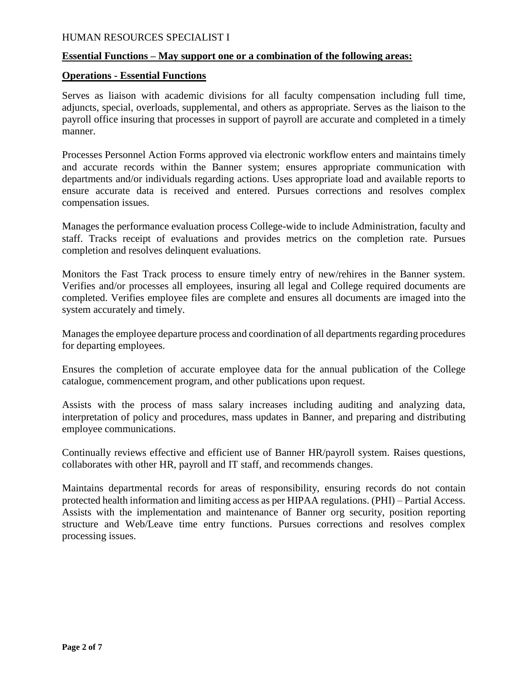#### **Essential Functions – May support one or a combination of the following areas:**

#### **Operations - Essential Functions**

Serves as liaison with academic divisions for all faculty compensation including full time, adjuncts, special, overloads, supplemental, and others as appropriate. Serves as the liaison to the payroll office insuring that processes in support of payroll are accurate and completed in a timely manner.

Processes Personnel Action Forms approved via electronic workflow enters and maintains timely and accurate records within the Banner system; ensures appropriate communication with departments and/or individuals regarding actions. Uses appropriate load and available reports to ensure accurate data is received and entered. Pursues corrections and resolves complex compensation issues.

Manages the performance evaluation process College-wide to include Administration, faculty and staff. Tracks receipt of evaluations and provides metrics on the completion rate. Pursues completion and resolves delinquent evaluations.

Monitors the Fast Track process to ensure timely entry of new/rehires in the Banner system. Verifies and/or processes all employees, insuring all legal and College required documents are completed. Verifies employee files are complete and ensures all documents are imaged into the system accurately and timely.

Manages the employee departure process and coordination of all departments regarding procedures for departing employees.

Ensures the completion of accurate employee data for the annual publication of the College catalogue, commencement program, and other publications upon request.

Assists with the process of mass salary increases including auditing and analyzing data, interpretation of policy and procedures, mass updates in Banner, and preparing and distributing employee communications.

Continually reviews effective and efficient use of Banner HR/payroll system. Raises questions, collaborates with other HR, payroll and IT staff, and recommends changes.

Maintains departmental records for areas of responsibility, ensuring records do not contain protected health information and limiting access as per HIPAA regulations. (PHI) – Partial Access. Assists with the implementation and maintenance of Banner org security, position reporting structure and Web/Leave time entry functions. Pursues corrections and resolves complex processing issues.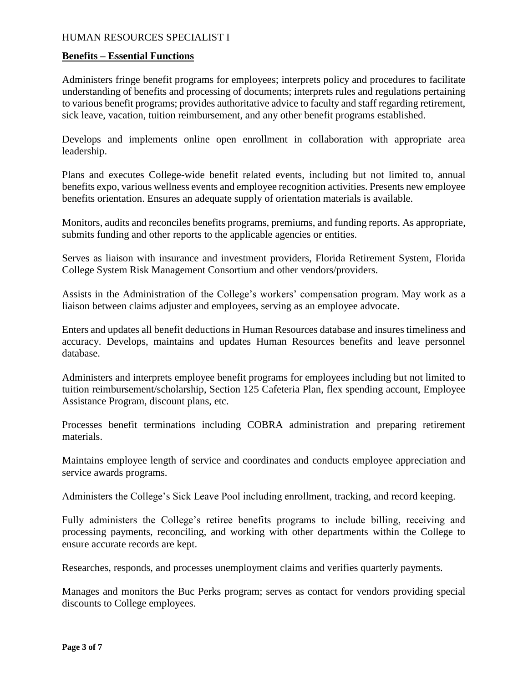#### **Benefits – Essential Functions**

Administers fringe benefit programs for employees; interprets policy and procedures to facilitate understanding of benefits and processing of documents; interprets rules and regulations pertaining to various benefit programs; provides authoritative advice to faculty and staff regarding retirement, sick leave, vacation, tuition reimbursement, and any other benefit programs established.

Develops and implements online open enrollment in collaboration with appropriate area leadership.

Plans and executes College-wide benefit related events, including but not limited to, annual benefits expo, various wellness events and employee recognition activities. Presents new employee benefits orientation. Ensures an adequate supply of orientation materials is available.

Monitors, audits and reconciles benefits programs, premiums, and funding reports. As appropriate, submits funding and other reports to the applicable agencies or entities.

Serves as liaison with insurance and investment providers, Florida Retirement System, Florida College System Risk Management Consortium and other vendors/providers.

Assists in the Administration of the College's workers' compensation program. May work as a liaison between claims adjuster and employees, serving as an employee advocate.

Enters and updates all benefit deductions in Human Resources database and insures timeliness and accuracy. Develops, maintains and updates Human Resources benefits and leave personnel database.

Administers and interprets employee benefit programs for employees including but not limited to tuition reimbursement/scholarship, Section 125 Cafeteria Plan, flex spending account, Employee Assistance Program, discount plans, etc.

Processes benefit terminations including COBRA administration and preparing retirement materials.

Maintains employee length of service and coordinates and conducts employee appreciation and service awards programs.

Administers the College's Sick Leave Pool including enrollment, tracking, and record keeping.

Fully administers the College's retiree benefits programs to include billing, receiving and processing payments, reconciling, and working with other departments within the College to ensure accurate records are kept.

Researches, responds, and processes unemployment claims and verifies quarterly payments.

Manages and monitors the Buc Perks program; serves as contact for vendors providing special discounts to College employees.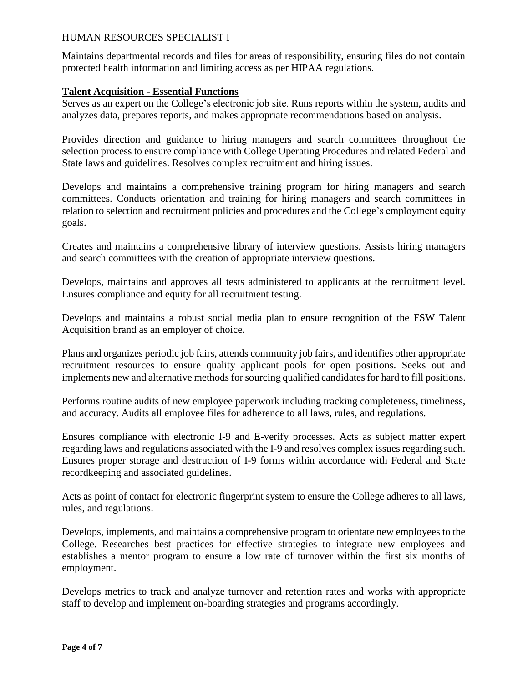Maintains departmental records and files for areas of responsibility, ensuring files do not contain protected health information and limiting access as per HIPAA regulations.

### **Talent Acquisition - Essential Functions**

Serves as an expert on the College's electronic job site. Runs reports within the system, audits and analyzes data, prepares reports, and makes appropriate recommendations based on analysis.

Provides direction and guidance to hiring managers and search committees throughout the selection process to ensure compliance with College Operating Procedures and related Federal and State laws and guidelines. Resolves complex recruitment and hiring issues.

Develops and maintains a comprehensive training program for hiring managers and search committees. Conducts orientation and training for hiring managers and search committees in relation to selection and recruitment policies and procedures and the College's employment equity goals.

Creates and maintains a comprehensive library of interview questions. Assists hiring managers and search committees with the creation of appropriate interview questions.

Develops, maintains and approves all tests administered to applicants at the recruitment level. Ensures compliance and equity for all recruitment testing.

Develops and maintains a robust social media plan to ensure recognition of the FSW Talent Acquisition brand as an employer of choice.

Plans and organizes periodic job fairs, attends community job fairs, and identifies other appropriate recruitment resources to ensure quality applicant pools for open positions. Seeks out and implements new and alternative methods for sourcing qualified candidates for hard to fill positions.

Performs routine audits of new employee paperwork including tracking completeness, timeliness, and accuracy. Audits all employee files for adherence to all laws, rules, and regulations.

Ensures compliance with electronic I-9 and E-verify processes. Acts as subject matter expert regarding laws and regulations associated with the I-9 and resolves complex issues regarding such. Ensures proper storage and destruction of I-9 forms within accordance with Federal and State recordkeeping and associated guidelines.

Acts as point of contact for electronic fingerprint system to ensure the College adheres to all laws, rules, and regulations.

Develops, implements, and maintains a comprehensive program to orientate new employees to the College. Researches best practices for effective strategies to integrate new employees and establishes a mentor program to ensure a low rate of turnover within the first six months of employment.

Develops metrics to track and analyze turnover and retention rates and works with appropriate staff to develop and implement on-boarding strategies and programs accordingly.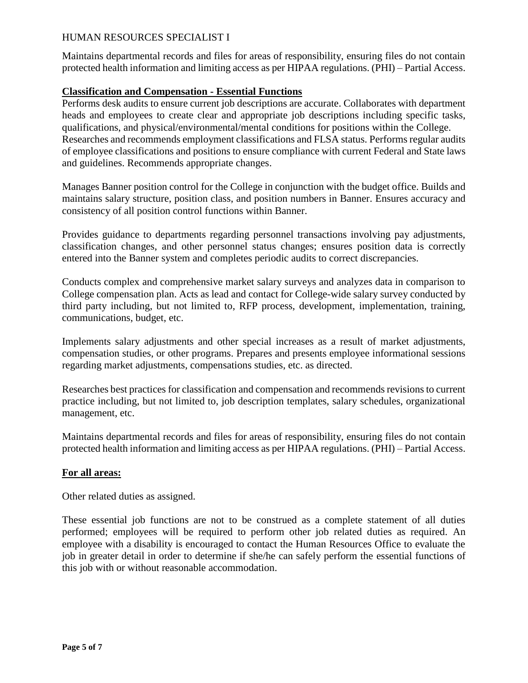Maintains departmental records and files for areas of responsibility, ensuring files do not contain protected health information and limiting access as per HIPAA regulations. (PHI) – Partial Access.

## **Classification and Compensation - Essential Functions**

Performs desk audits to ensure current job descriptions are accurate. Collaborates with department heads and employees to create clear and appropriate job descriptions including specific tasks, qualifications, and physical/environmental/mental conditions for positions within the College. Researches and recommends employment classifications and FLSA status. Performs regular audits of employee classifications and positions to ensure compliance with current Federal and State laws and guidelines. Recommends appropriate changes.

Manages Banner position control for the College in conjunction with the budget office. Builds and maintains salary structure, position class, and position numbers in Banner. Ensures accuracy and consistency of all position control functions within Banner.

Provides guidance to departments regarding personnel transactions involving pay adjustments, classification changes, and other personnel status changes; ensures position data is correctly entered into the Banner system and completes periodic audits to correct discrepancies.

Conducts complex and comprehensive market salary surveys and analyzes data in comparison to College compensation plan. Acts as lead and contact for College-wide salary survey conducted by third party including, but not limited to, RFP process, development, implementation, training, communications, budget, etc.

Implements salary adjustments and other special increases as a result of market adjustments, compensation studies, or other programs. Prepares and presents employee informational sessions regarding market adjustments, compensations studies, etc. as directed.

Researches best practices for classification and compensation and recommends revisions to current practice including, but not limited to, job description templates, salary schedules, organizational management, etc.

Maintains departmental records and files for areas of responsibility, ensuring files do not contain protected health information and limiting access as per HIPAA regulations. (PHI) – Partial Access.

## **For all areas:**

Other related duties as assigned.

These essential job functions are not to be construed as a complete statement of all duties performed; employees will be required to perform other job related duties as required. An employee with a disability is encouraged to contact the Human Resources Office to evaluate the job in greater detail in order to determine if she/he can safely perform the essential functions of this job with or without reasonable accommodation.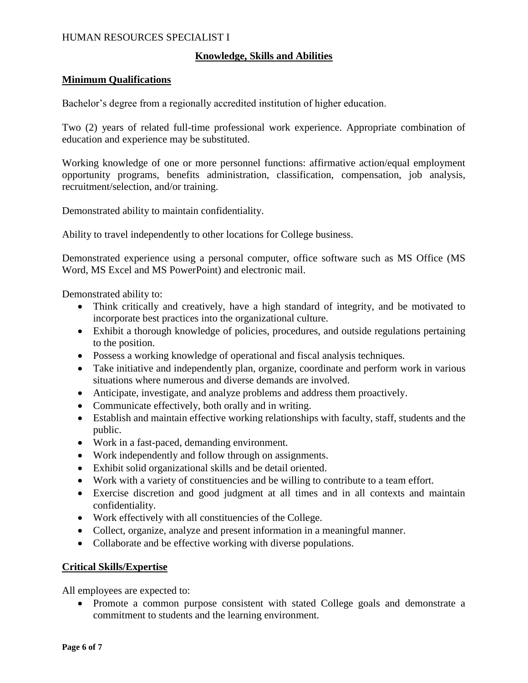### **Knowledge, Skills and Abilities**

#### **Minimum Qualifications**

Bachelor's degree from a regionally accredited institution of higher education.

Two (2) years of related full-time professional work experience. Appropriate combination of education and experience may be substituted.

Working knowledge of one or more personnel functions: affirmative action/equal employment opportunity programs, benefits administration, classification, compensation, job analysis, recruitment/selection, and/or training.

Demonstrated ability to maintain confidentiality.

Ability to travel independently to other locations for College business.

Demonstrated experience using a personal computer, office software such as MS Office (MS Word, MS Excel and MS PowerPoint) and electronic mail.

Demonstrated ability to:

- Think critically and creatively, have a high standard of integrity, and be motivated to incorporate best practices into the organizational culture.
- Exhibit a thorough knowledge of policies, procedures, and outside regulations pertaining to the position.
- Possess a working knowledge of operational and fiscal analysis techniques.
- Take initiative and independently plan, organize, coordinate and perform work in various situations where numerous and diverse demands are involved.
- Anticipate, investigate, and analyze problems and address them proactively.
- Communicate effectively, both orally and in writing.
- Establish and maintain effective working relationships with faculty, staff, students and the public.
- Work in a fast-paced, demanding environment.
- Work independently and follow through on assignments.
- Exhibit solid organizational skills and be detail oriented.
- Work with a variety of constituencies and be willing to contribute to a team effort.
- Exercise discretion and good judgment at all times and in all contexts and maintain confidentiality.
- Work effectively with all constituencies of the College.
- Collect, organize, analyze and present information in a meaningful manner.
- Collaborate and be effective working with diverse populations.

## **Critical Skills/Expertise**

All employees are expected to:

• Promote a common purpose consistent with stated College goals and demonstrate a commitment to students and the learning environment.